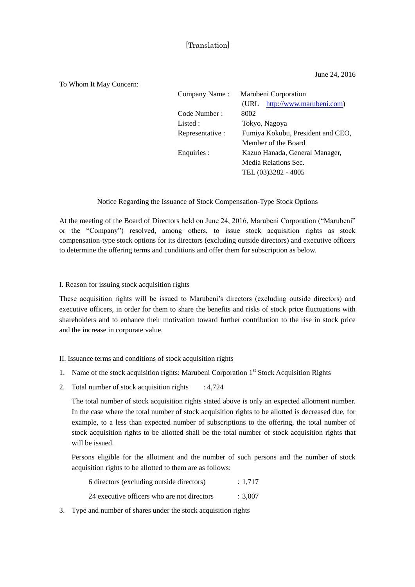## [Translation]

June 24, 2016

## To Whom It May Concern:

| Company Name:    | Marubeni Corporation              |
|------------------|-----------------------------------|
|                  | (URL http://www.marubeni.com)     |
| Code Number :    | 8002                              |
| Listed :         | Tokyo, Nagoya                     |
| Representative : | Fumiya Kokubu, President and CEO, |
|                  | Member of the Board               |
| Enquiries :      | Kazuo Hanada, General Manager,    |
|                  | Media Relations Sec.              |
|                  | TEL (03)3282 - 4805               |
|                  |                                   |

Notice Regarding the Issuance of Stock Compensation-Type Stock Options

At the meeting of the Board of Directors held on June 24, 2016, Marubeni Corporation ("Marubeni" or the "Company") resolved, among others, to issue stock acquisition rights as stock compensation-type stock options for its directors (excluding outside directors) and executive officers to determine the offering terms and conditions and offer them for subscription as below.

## I. Reason for issuing stock acquisition rights

These acquisition rights will be issued to Marubeni's directors (excluding outside directors) and executive officers, in order for them to share the benefits and risks of stock price fluctuations with shareholders and to enhance their motivation toward further contribution to the rise in stock price and the increase in corporate value.

## II. Issuance terms and conditions of stock acquisition rights

- 1. Name of the stock acquisition rights: Marubeni Corporation 1<sup>st</sup> Stock Acquisition Rights
- 2. Total number of stock acquisition rights  $\therefore$  4,724

The total number of stock acquisition rights stated above is only an expected allotment number. In the case where the total number of stock acquisition rights to be allotted is decreased due, for example, to a less than expected number of subscriptions to the offering, the total number of stock acquisition rights to be allotted shall be the total number of stock acquisition rights that will be issued.

Persons eligible for the allotment and the number of such persons and the number of stock acquisition rights to be allotted to them are as follows:

| 6 directors (excluding outside directors)   | : 1.717 |
|---------------------------------------------|---------|
| 24 executive officers who are not directors | : 3.007 |

3. Type and number of shares under the stock acquisition rights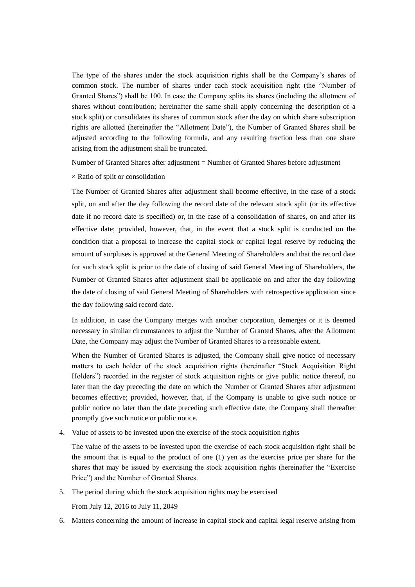The type of the shares under the stock acquisition rights shall be the Company's shares of common stock. The number of shares under each stock acquisition right (the "Number of Granted Shares") shall be 100. In case the Company splits its shares (including the allotment of shares without contribution; hereinafter the same shall apply concerning the description of a stock split) or consolidates its shares of common stock after the day on which share subscription rights are allotted (hereinafter the "Allotment Date"), the Number of Granted Shares shall be adjusted according to the following formula, and any resulting fraction less than one share arising from the adjustment shall be truncated.

Number of Granted Shares after adjustment = Number of Granted Shares before adjustment

 $\times$  Ratio of split or consolidation

The Number of Granted Shares after adjustment shall become effective, in the case of a stock split, on and after the day following the record date of the relevant stock split (or its effective date if no record date is specified) or, in the case of a consolidation of shares, on and after its effective date; provided, however, that, in the event that a stock split is conducted on the condition that a proposal to increase the capital stock or capital legal reserve by reducing the amount of surpluses is approved at the General Meeting of Shareholders and that the record date for such stock split is prior to the date of closing of said General Meeting of Shareholders, the Number of Granted Shares after adjustment shall be applicable on and after the day following the date of closing of said General Meeting of Shareholders with retrospective application since the day following said record date.

In addition, in case the Company merges with another corporation, demerges or it is deemed necessary in similar circumstances to adjust the Number of Granted Shares, after the Allotment Date, the Company may adjust the Number of Granted Shares to a reasonable extent.

When the Number of Granted Shares is adjusted, the Company shall give notice of necessary matters to each holder of the stock acquisition rights (hereinafter "Stock Acquisition Right Holders") recorded in the register of stock acquisition rights or give public notice thereof, no later than the day preceding the date on which the Number of Granted Shares after adjustment becomes effective; provided, however, that, if the Company is unable to give such notice or public notice no later than the date preceding such effective date, the Company shall thereafter promptly give such notice or public notice.

4. Value of assets to be invested upon the exercise of the stock acquisition rights

The value of the assets to be invested upon the exercise of each stock acquisition right shall be the amount that is equal to the product of one (1) yen as the exercise price per share for the shares that may be issued by exercising the stock acquisition rights (hereinafter the "Exercise Price") and the Number of Granted Shares.

5. The period during which the stock acquisition rights may be exercised

From July 12, 2016 to July 11, 2049

6. Matters concerning the amount of increase in capital stock and capital legal reserve arising from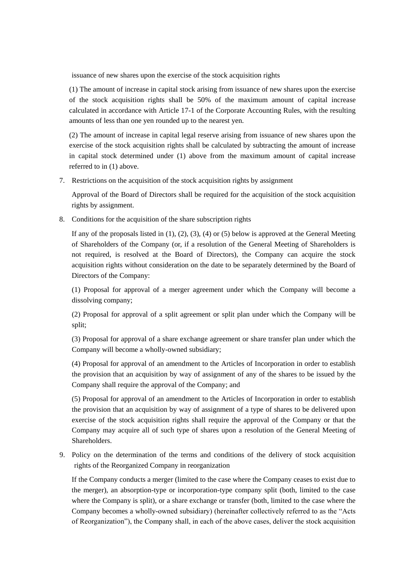issuance of new shares upon the exercise of the stock acquisition rights

(1) The amount of increase in capital stock arising from issuance of new shares upon the exercise of the stock acquisition rights shall be 50% of the maximum amount of capital increase calculated in accordance with Article 17-1 of the Corporate Accounting Rules, with the resulting amounts of less than one yen rounded up to the nearest yen.

(2) The amount of increase in capital legal reserve arising from issuance of new shares upon the exercise of the stock acquisition rights shall be calculated by subtracting the amount of increase in capital stock determined under (1) above from the maximum amount of capital increase referred to in (1) above.

7. Restrictions on the acquisition of the stock acquisition rights by assignment

Approval of the Board of Directors shall be required for the acquisition of the stock acquisition rights by assignment.

8. Conditions for the acquisition of the share subscription rights

If any of the proposals listed in  $(1)$ ,  $(2)$ ,  $(3)$ ,  $(4)$  or  $(5)$  below is approved at the General Meeting of Shareholders of the Company (or, if a resolution of the General Meeting of Shareholders is not required, is resolved at the Board of Directors), the Company can acquire the stock acquisition rights without consideration on the date to be separately determined by the Board of Directors of the Company:

(1) Proposal for approval of a merger agreement under which the Company will become a dissolving company;

(2) Proposal for approval of a split agreement or split plan under which the Company will be split;

(3) Proposal for approval of a share exchange agreement or share transfer plan under which the Company will become a wholly-owned subsidiary;

(4) Proposal for approval of an amendment to the Articles of Incorporation in order to establish the provision that an acquisition by way of assignment of any of the shares to be issued by the Company shall require the approval of the Company; and

(5) Proposal for approval of an amendment to the Articles of Incorporation in order to establish the provision that an acquisition by way of assignment of a type of shares to be delivered upon exercise of the stock acquisition rights shall require the approval of the Company or that the Company may acquire all of such type of shares upon a resolution of the General Meeting of Shareholders.

9. Policy on the determination of the terms and conditions of the delivery of stock acquisition rights of the Reorganized Company in reorganization

If the Company conducts a merger (limited to the case where the Company ceases to exist due to the merger), an absorption-type or incorporation-type company split (both, limited to the case where the Company is split), or a share exchange or transfer (both, limited to the case where the Company becomes a wholly-owned subsidiary) (hereinafter collectively referred to as the "Acts of Reorganization"), the Company shall, in each of the above cases, deliver the stock acquisition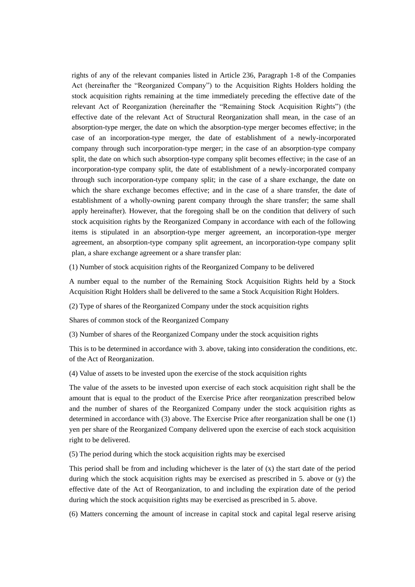rights of any of the relevant companies listed in Article 236, Paragraph 1-8 of the Companies Act (hereinafter the "Reorganized Company") to the Acquisition Rights Holders holding the stock acquisition rights remaining at the time immediately preceding the effective date of the relevant Act of Reorganization (hereinafter the "Remaining Stock Acquisition Rights") (the effective date of the relevant Act of Structural Reorganization shall mean, in the case of an absorption-type merger, the date on which the absorption-type merger becomes effective; in the case of an incorporation-type merger, the date of establishment of a newly-incorporated company through such incorporation-type merger; in the case of an absorption-type company split, the date on which such absorption-type company split becomes effective; in the case of an incorporation-type company split, the date of establishment of a newly-incorporated company through such incorporation-type company split; in the case of a share exchange, the date on which the share exchange becomes effective; and in the case of a share transfer, the date of establishment of a wholly-owning parent company through the share transfer; the same shall apply hereinafter). However, that the foregoing shall be on the condition that delivery of such stock acquisition rights by the Reorganized Company in accordance with each of the following items is stipulated in an absorption-type merger agreement, an incorporation-type merger agreement, an absorption-type company split agreement, an incorporation-type company split plan, a share exchange agreement or a share transfer plan:

(1) Number of stock acquisition rights of the Reorganized Company to be delivered

A number equal to the number of the Remaining Stock Acquisition Rights held by a Stock Acquisition Right Holders shall be delivered to the same a Stock Acquisition Right Holders.

(2) Type of shares of the Reorganized Company under the stock acquisition rights

Shares of common stock of the Reorganized Company

(3) Number of shares of the Reorganized Company under the stock acquisition rights

This is to be determined in accordance with 3. above, taking into consideration the conditions, etc. of the Act of Reorganization.

(4) Value of assets to be invested upon the exercise of the stock acquisition rights

The value of the assets to be invested upon exercise of each stock acquisition right shall be the amount that is equal to the product of the Exercise Price after reorganization prescribed below and the number of shares of the Reorganized Company under the stock acquisition rights as determined in accordance with (3) above. The Exercise Price after reorganization shall be one (1) yen per share of the Reorganized Company delivered upon the exercise of each stock acquisition right to be delivered.

(5) The period during which the stock acquisition rights may be exercised

This period shall be from and including whichever is the later of  $(x)$  the start date of the period during which the stock acquisition rights may be exercised as prescribed in 5. above or (y) the effective date of the Act of Reorganization, to and including the expiration date of the period during which the stock acquisition rights may be exercised as prescribed in 5. above.

(6) Matters concerning the amount of increase in capital stock and capital legal reserve arising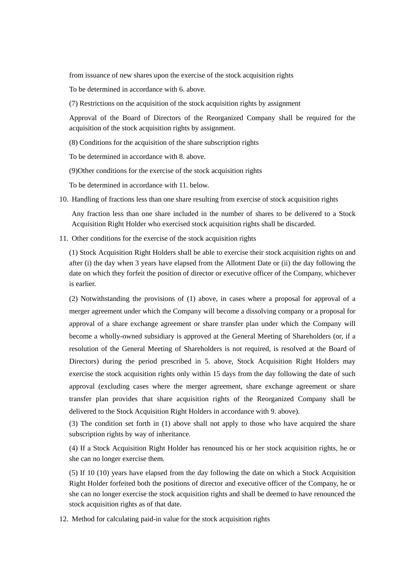from issuance of new shares upon the exercise of the stock acquisition rights

To be determined in accordance with 6. above.

(7) Restrictions on the acquisition of the stock acquisition rights by assignment

Approval of the Board of Directors of the Reorganized Company shall be required for the acquisition of the stock acquisition rights by assignment.

(8) Conditions for the acquisition of the share subscription rights

To be determined in accordance with 8. above.

(9)Other conditions for the exercise of the stock acquisition rights

To be determined in accordance with 11. below.

10. Handling of fractions less than one share resulting from exercise of stock acquisition rights

Any fraction less than one share included in the number of shares to be delivered to a Stock Acquisition Right Holder who exercised stock acquisition rights shall be discarded.

11. Other conditions for the exercise of the stock acquisition rights

(1) Stock Acquisition Right Holders shall be able to exercise their stock acquisition rights on and after (i) the day when 3 years have elapsed from the Allotment Date or (ii) the day following the date on which they forfeit the position of director or executive officer of the Company, whichever is earlier.

(2) Notwithstanding the provisions of (1) above, in cases where a proposal for approval of a merger agreement under which the Company will become a dissolving company or a proposal for approval of a share exchange agreement or share transfer plan under which the Company will become a wholly-owned subsidiary is approved at the General Meeting of Shareholders (or, if a resolution of the General Meeting of Shareholders is not required, is resolved at the Board of Directors) during the period prescribed in 5. above, Stock Acquisition Right Holders may exercise the stock acquisition rights only within 15 days from the day following the date of such approval (excluding cases where the merger agreement, share exchange agreement or share transfer plan provides that share acquisition rights of the Reorganized Company shall be delivered to the Stock Acquisition Right Holders in accordance with 9. above).

(3) The condition set forth in (1) above shall not apply to those who have acquired the share subscription rights by way of inheritance.

(4) If a Stock Acquisition Right Holder has renounced his or her stock acquisition rights, he or she can no longer exercise them.

(5) If 10 (10) years have elapsed from the day following the date on which a Stock Acquisition Right Holder forfeited both the positions of director and executive officer of the Company, he or she can no longer exercise the stock acquisition rights and shall be deemed to have renounced the stock acquisition rights as of that date.

12. Method for calculating paid-in value for the stock acquisition rights